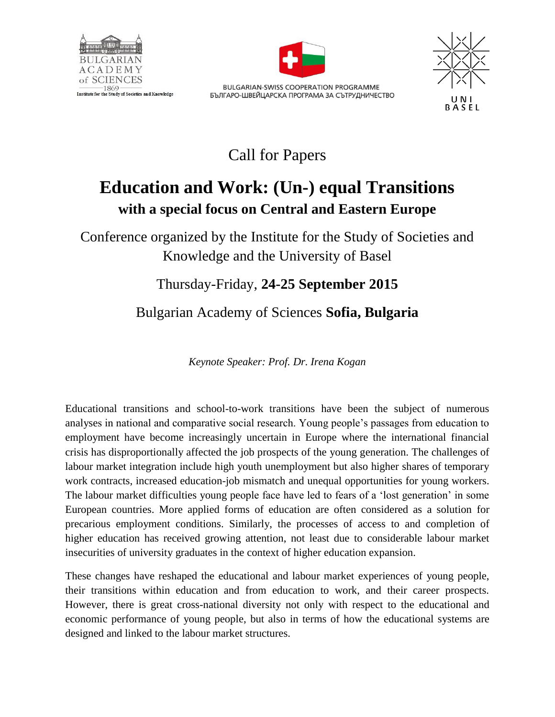



**BULGARIAN-SWISS COOPERATION PROGRAMME** БЪЛГАРО-ШВЕЙЦАРСКА ПРОГРАМА ЗА СЪТРУДНИЧЕСТВО



Call for Papers

# **Education and Work: (Un-) equal Transitions with a special focus on Central and Eastern Europe**

Conference organized by the Institute for the Study of Societies and Knowledge and the University of Basel

## Thursday-Friday, **24-25 September 2015**

# Bulgarian Academy of Sciences **Sofia, Bulgaria**

*Keynote Speaker: Prof. Dr. Irena Kogan*

Educational transitions and school-to-work transitions have been the subject of numerous analyses in national and comparative social research. Young people's passages from education to employment have become increasingly uncertain in Europe where the international financial crisis has disproportionally affected the job prospects of the young generation. The challenges of labour market integration include high youth unemployment but also higher shares of temporary work contracts, increased education-job mismatch and unequal opportunities for young workers. The labour market difficulties young people face have led to fears of a 'lost generation' in some European countries. More applied forms of education are often considered as a solution for precarious employment conditions. Similarly, the processes of access to and completion of higher education has received growing attention, not least due to considerable labour market insecurities of university graduates in the context of higher education expansion.

These changes have reshaped the educational and labour market experiences of young people, their transitions within education and from education to work, and their career prospects. However, there is great cross-national diversity not only with respect to the educational and economic performance of young people, but also in terms of how the educational systems are designed and linked to the labour market structures.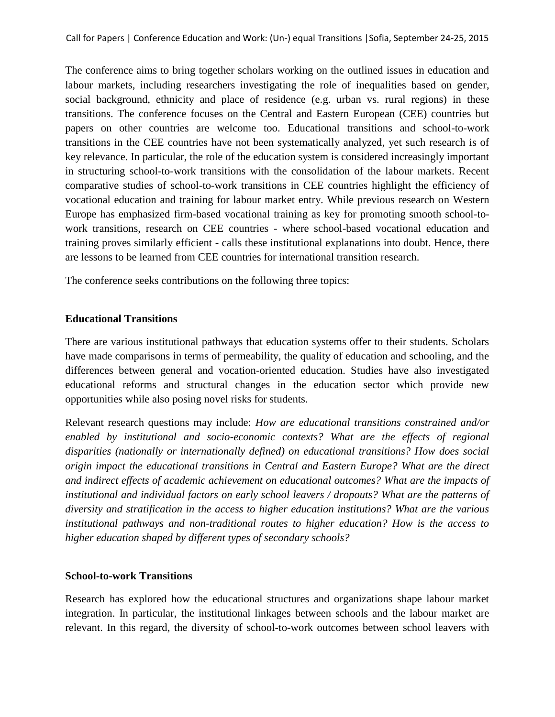The conference aims to bring together scholars working on the outlined issues in education and labour markets, including researchers investigating the role of inequalities based on gender, social background, ethnicity and place of residence (e.g. urban vs. rural regions) in these transitions. The conference focuses on the Central and Eastern European (CEE) countries but papers on other countries are welcome too. Educational transitions and school-to-work transitions in the CEE countries have not been systematically analyzed, yet such research is of key relevance. In particular, the role of the education system is considered increasingly important in structuring school-to-work transitions with the consolidation of the labour markets. Recent comparative studies of school-to-work transitions in CEE countries highlight the efficiency of vocational education and training for labour market entry. While previous research on Western Europe has emphasized firm-based vocational training as key for promoting smooth school-towork transitions, research on CEE countries - where school-based vocational education and training proves similarly efficient - calls these institutional explanations into doubt. Hence, there are lessons to be learned from CEE countries for international transition research.

The conference seeks contributions on the following three topics:

### **Educational Transitions**

There are various institutional pathways that education systems offer to their students. Scholars have made comparisons in terms of permeability, the quality of education and schooling, and the differences between general and vocation-oriented education. Studies have also investigated educational reforms and structural changes in the education sector which provide new opportunities while also posing novel risks for students.

Relevant research questions may include: *How are educational transitions constrained and/or enabled by institutional and socio-economic contexts? What are the effects of regional disparities (nationally or internationally defined) on educational transitions? How does social origin impact the educational transitions in Central and Eastern Europe? What are the direct and indirect effects of academic achievement on educational outcomes? What are the impacts of institutional and individual factors on early school leavers / dropouts? What are the patterns of diversity and stratification in the access to higher education institutions? What are the various institutional pathways and non-traditional routes to higher education? How is the access to higher education shaped by different types of secondary schools?* 

#### **School-to-work Transitions**

Research has explored how the educational structures and organizations shape labour market integration. In particular, the institutional linkages between schools and the labour market are relevant. In this regard, the diversity of school-to-work outcomes between school leavers with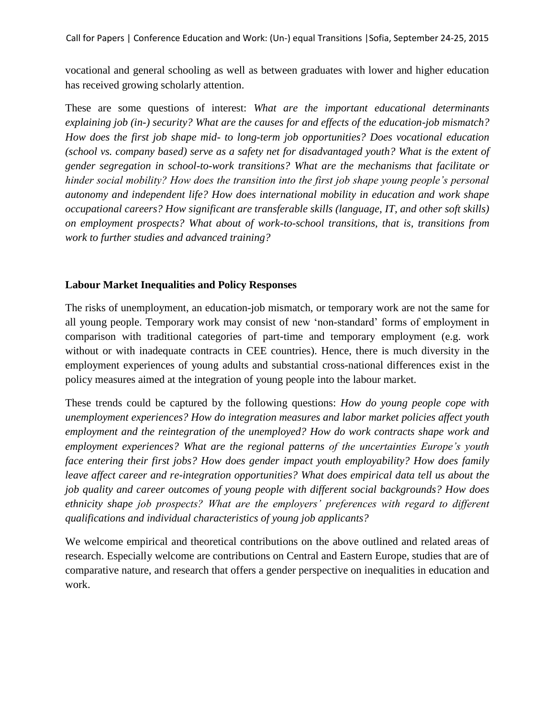Call for Papers | Conference Education and Work: (Un-) equal Transitions |Sofia, September 24-25, 2015

vocational and general schooling as well as between graduates with lower and higher education has received growing scholarly attention.

These are some questions of interest: *What are the important educational determinants explaining job (in-) security? What are the causes for and effects of the education-job mismatch? How does the first job shape mid- to long-term job opportunities? Does vocational education (school vs. company based) serve as a safety net for disadvantaged youth? What is the extent of gender segregation in school-to-work transitions? What are the mechanisms that facilitate or hinder social mobility? How does the transition into the first job shape young people's personal autonomy and independent life? How does international mobility in education and work shape occupational careers? How significant are transferable skills (language, IT, and other soft skills) on employment prospects? What about of work-to-school transitions, that is, transitions from work to further studies and advanced training?*

### **Labour Market Inequalities and Policy Responses**

The risks of unemployment, an education-job mismatch, or temporary work are not the same for all young people. Temporary work may consist of new 'non-standard' forms of employment in comparison with traditional categories of part-time and temporary employment (e.g. work without or with inadequate contracts in CEE countries). Hence, there is much diversity in the employment experiences of young adults and substantial cross-national differences exist in the policy measures aimed at the integration of young people into the labour market.

These trends could be captured by the following questions: *How do young people cope with unemployment experiences? How do integration measures and labor market policies affect youth employment and the reintegration of the unemployed? How do work contracts shape work and employment experiences? What are the regional patterns of the uncertainties Europe's youth face entering their first jobs? How does gender impact youth employability? How does family leave affect career and re-integration opportunities? What does empirical data tell us about the job quality and career outcomes of young people with different social backgrounds? How does ethnicity shape job prospects? What are the employers' preferences with regard to different qualifications and individual characteristics of young job applicants?* 

We welcome empirical and theoretical contributions on the above outlined and related areas of research. Especially welcome are contributions on Central and Eastern Europe, studies that are of comparative nature, and research that offers a gender perspective on inequalities in education and work.